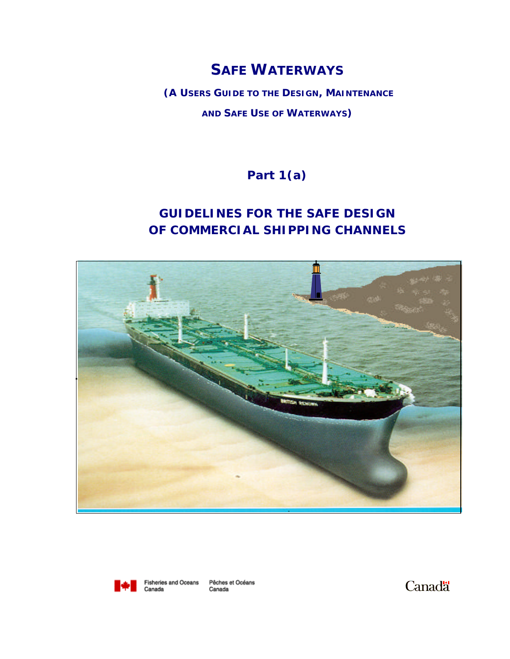# **SAFE WATERWAYS**

**(A USERS GUIDE TO THE DESIGN, MAINTENANCE AND SAFE USE OF WATERWAYS)**

**Part 1(a)**

# **GUIDELINES FOR THE SAFE DESIGN OF COMMERCIAL SHIPPING CHANNELS**





Pêches et Océans Canada

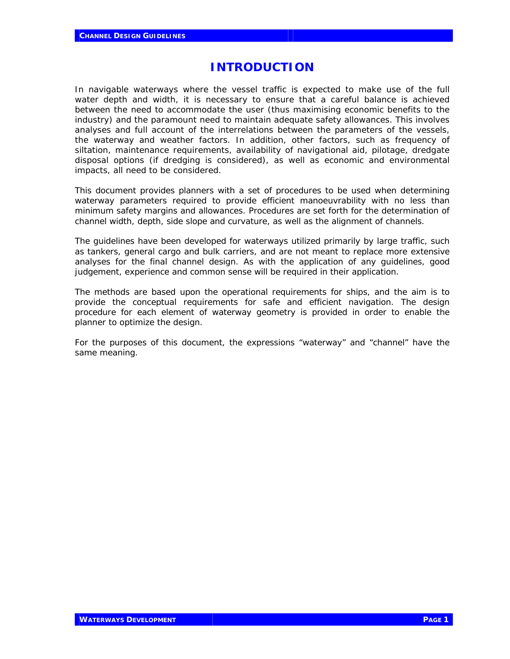## **INTRODUCTION**

In navigable waterways where the vessel traffic is expected to make use of the full water depth and width, it is necessary to ensure that a careful balance is achieved between the need to accommodate the user (thus maximising economic benefits to the industry) and the paramount need to maintain adequate safety allowances. This involves analyses and full account of the interrelations between the parameters of the vessels, the waterway and weather factors. In addition, other factors, such as frequency of siltation, maintenance requirements, availability of navigational aid, pilotage, dredgate disposal options (if dredging is considered), as well as economic and environmental impacts, all need to be considered.

This document provides planners with a set of procedures to be used when determining waterway parameters required to provide efficient manoeuvrability with no less than minimum safety margins and allowances. Procedures are set forth for the determination of channel width, depth, side slope and curvature, as well as the alignment of channels.

The guidelines have been developed for waterways utilized primarily by large traffic, such as tankers, general cargo and bulk carriers, and are not meant to replace more extensive analyses for the final channel design. As with the application of any guidelines, good judgement, experience and common sense will be required in their application.

The methods are based upon the operational requirements for ships, and the aim is to provide the conceptual requirements for safe and efficient navigation. The design procedure for each element of waterway geometry is provided in order to enable the planner to optimize the design.

For the purposes of this document, the expressions "waterway" and "channel" have the same meaning.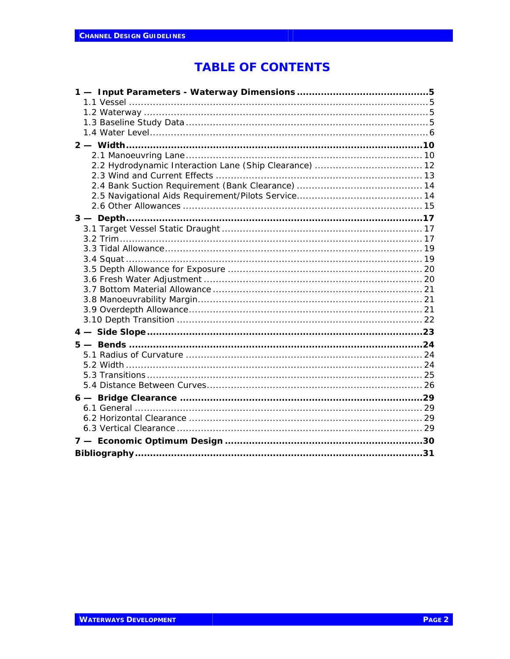# **TABLE OF CONTENTS**

| 2.2 Hydrodynamic Interaction Lane (Ship Clearance)  12 |
|--------------------------------------------------------|
|                                                        |
|                                                        |
|                                                        |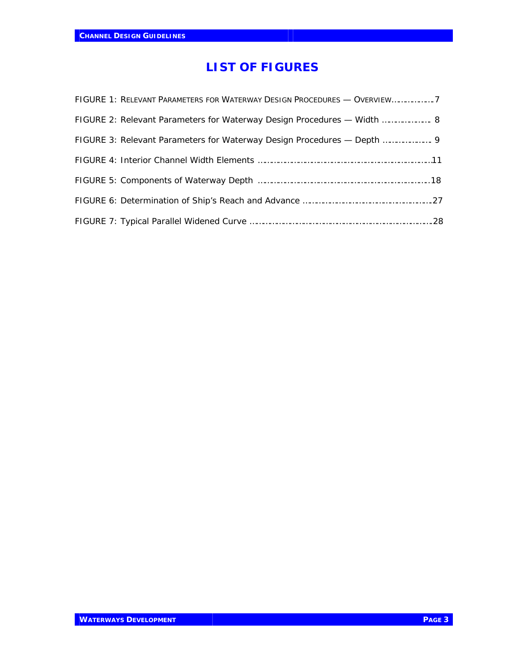# **LIST OF FIGURES**

| FIGURE 1: RELEVANT PARAMETERS FOR WATERWAY DESIGN PROCEDURES - OVERVIEW7 |  |
|--------------------------------------------------------------------------|--|
| FIGURE 2: Relevant Parameters for Waterway Design Procedures — Width  8  |  |
| FIGURE 3: Relevant Parameters for Waterway Design Procedures - Depth  9  |  |
|                                                                          |  |
|                                                                          |  |
|                                                                          |  |
|                                                                          |  |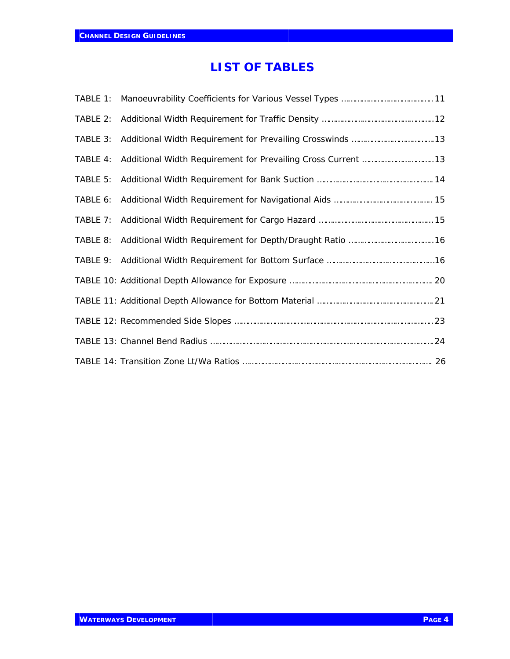# **LIST OF TABLES**

| TABLE 1: |  |
|----------|--|
| TABLE 2: |  |
| TABLE 3: |  |
| TABLE 4: |  |
| TABLE 5: |  |
| TABLE 6: |  |
|          |  |
|          |  |
|          |  |
|          |  |
|          |  |
|          |  |
|          |  |
|          |  |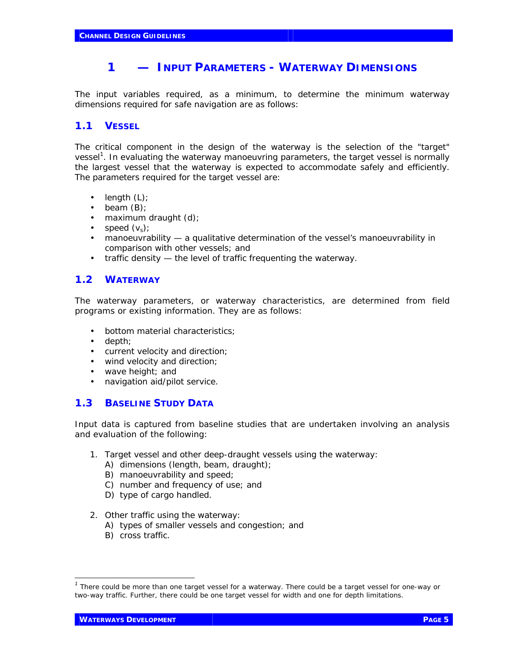## **1 — INPUT PARAMETERS - WATERWAY DIMENSIONS**

The input variables required, as a minimum, to determine the minimum waterway dimensions required for safe navigation are as follows:

## **1.1 VESSEL**

The critical component in the design of the waterway is the selection of the "target" vessel*<sup>1</sup>* . In evaluating the waterway manoeuvring parameters, the target vessel is normally the largest vessel that the waterway is expected to accommodate safely and efficiently. The parameters required for the target vessel are:

- length  $(L)$ ;
- beam  $(B)$ ;
- maximum draught (d);
- speed  $(v_s)$ ;
- manoeuvrability a qualitative determination of the vessel's manoeuvrability in comparison with other vessels; and
- traffic density the level of traffic frequenting the waterway.

### **1.2 WATERWAY**

The waterway parameters, or waterway characteristics, are determined from field programs or existing information. They are as follows:

- bottom material characteristics;
- depth;
- current velocity and direction;
- wind velocity and direction;
- wave height; and
- navigation aid/pilot service.

### **1.3 BASELINE STUDY DATA**

Input data is captured from baseline studies that are undertaken involving an analysis and evaluation of the following:

- 1. Target vessel and other deep-draught vessels using the waterway:
	- A) dimensions (length, beam, draught);
	- B) manoeuvrability and speed;
	- C) number and frequency of use; and
	- D) type of cargo handled.
- 2. Other traffic using the waterway:
	- A) types of smaller vessels and congestion; and
	- B) cross traffic.

j

<sup>&</sup>lt;sup>1</sup> There could be more than one target vessel for a waterway. There could be a target vessel for one-way or two-way traffic. Further, there could be one target vessel for width and one for depth limitations.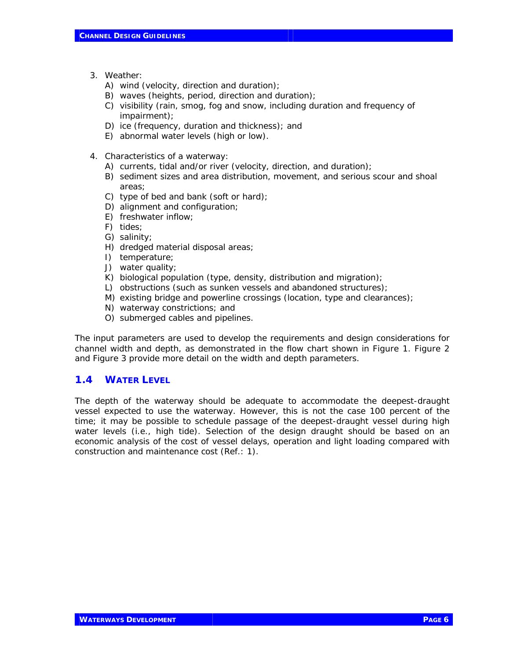- 3. Weather:
	- A) wind (velocity, direction and duration);
	- B) waves (heights, period, direction and duration);
	- C) visibility (rain, smog, fog and snow, including duration and frequency of impairment);
	- D) ice (frequency, duration and thickness); and
	- E) abnormal water levels (high or low).
- 4. Characteristics of a waterway:
	- A) currents, tidal and/or river (velocity, direction, and duration);
	- B) sediment sizes and area distribution, movement, and serious scour and shoal areas;
	- C) type of bed and bank (soft or hard);
	- D) alignment and configuration;
	- E) freshwater inflow;
	- F) tides;
	- G) salinity;
	- H) dredged material disposal areas;
	- I) temperature;
	- J) water quality;
	- K) biological population (type, density, distribution and migration);
	- L) obstructions (such as sunken vessels and abandoned structures);
	- M) existing bridge and powerline crossings (location, type and clearances);
	- N) waterway constrictions; and
	- O) submerged cables and pipelines.

The input parameters are used to develop the requirements and design considerations for channel width and depth, as demonstrated in the flow chart shown in Figure 1. Figure 2 and Figure 3 provide more detail on the width and depth parameters.

### **1.4 WATER LEVEL**

The depth of the waterway should be adequate to accommodate the deepest-draught vessel expected to use the waterway. However, this is not the case 100 percent of the time; it may be possible to schedule passage of the deepest-draught vessel during high water levels (i.e., high tide). Selection of the design draught should be based on an economic analysis of the cost of vessel delays, operation and light loading compared with construction and maintenance cost (Ref.: 1).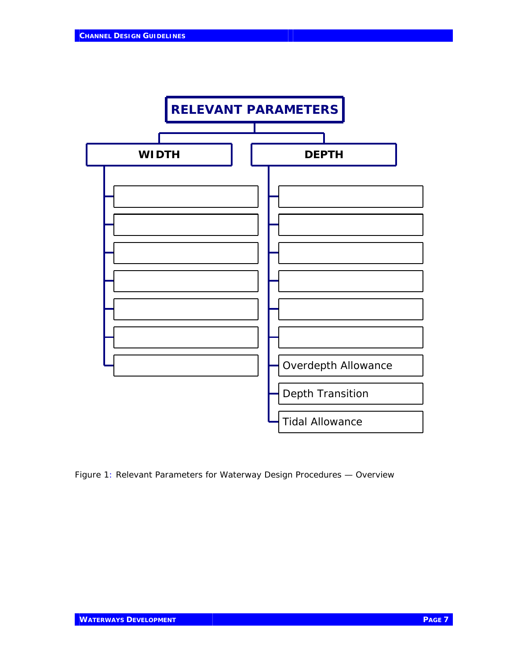

Figure 1: Relevant Parameters for Waterway Design Procedures — Overview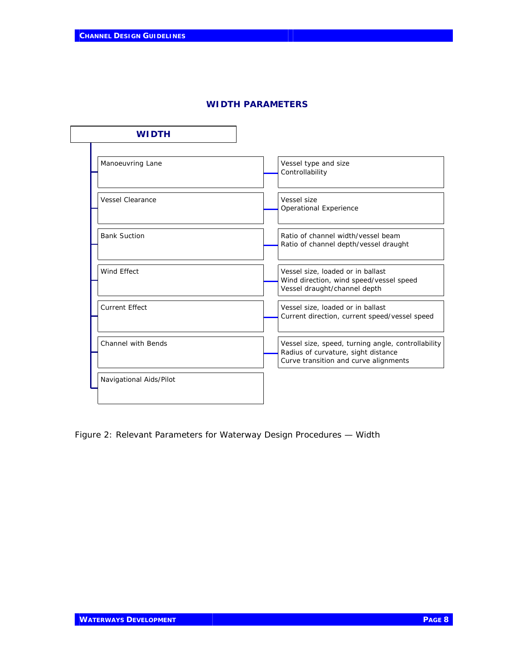#### **WIDTH PARAMETERS**

| <b>WIDTH</b>              |                                                                                                                                    |
|---------------------------|------------------------------------------------------------------------------------------------------------------------------------|
| Manoeuvring Lane          | Vessel type and size<br>Controllability                                                                                            |
| <b>Vessel Clearance</b>   | Vessel size<br>Operational Experience                                                                                              |
| <b>Bank Suction</b>       | Ratio of channel width/vessel beam<br>Ratio of channel depth/vessel draught                                                        |
| <b>Wind Effect</b>        | Vessel size, loaded or in ballast<br>Wind direction, wind speed/vessel speed<br>Vessel draught/channel depth                       |
| <b>Current Effect</b>     | Vessel size, loaded or in ballast<br>Current direction, current speed/vessel speed                                                 |
| <b>Channel with Bends</b> | Vessel size, speed, turning angle, controllability<br>Radius of curvature, sight distance<br>Curve transition and curve alignments |
| Navigational Aids/Pilot   |                                                                                                                                    |

Figure 2: Relevant Parameters for Waterway Design Procedures — Width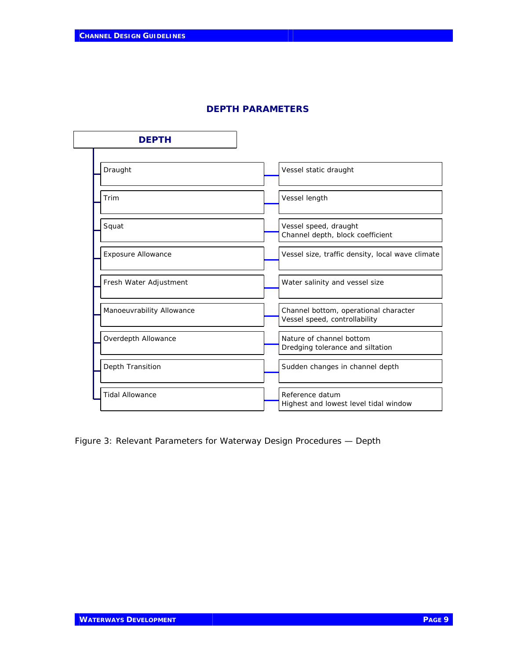| <b>DEPTH</b>              |                                                                        |
|---------------------------|------------------------------------------------------------------------|
| Draught                   | Vessel static draught                                                  |
| Trim                      | Vessel length                                                          |
| Squat                     | Vessel speed, draught<br>Channel depth, block coefficient              |
| Exposure Allowance        | Vessel size, traffic density, local wave climate                       |
| Fresh Water Adjustment    | Water salinity and vessel size                                         |
| Manoeuvrability Allowance | Channel bottom, operational character<br>Vessel speed, controllability |
| Overdepth Allowance       | Nature of channel bottom<br>Dredging tolerance and siltation           |
| Depth Transition          | Sudden changes in channel depth                                        |
| <b>Tidal Allowance</b>    | Reference datum<br>Highest and lowest level tidal window               |

#### **DEPTH PARAMETERS**

Figure 3: Relevant Parameters for Waterway Design Procedures — Depth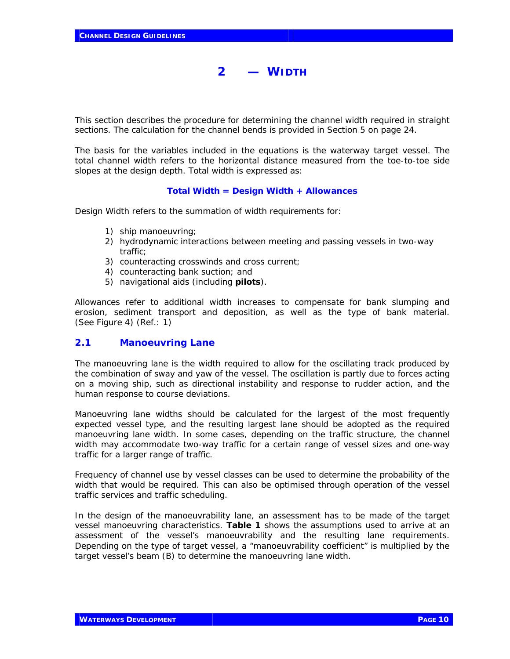# **2 — WIDTH**

This section describes the procedure for determining the channel width required in straight sections. The calculation for the channel bends is provided in Section 5 on page 24.

The basis for the variables included in the equations is the waterway target vessel. The total channel width refers to the horizontal distance measured from the toe-to-toe side slopes at the design depth. Total width is expressed as:

#### **Total Width = Design Width + Allowances**

Design Width refers to the summation of width requirements for:

- 1) ship manoeuvring;
- 2) hydrodynamic interactions between meeting and passing vessels in two-way traffic;
- 3) counteracting crosswinds and cross current;
- 4) counteracting bank suction; and
- 5) navigational aids (including **pilots**).

Allowances refer to additional width increases to compensate for bank slumping and erosion, sediment transport and deposition, as well as the type of bank material. (See Figure 4) (Ref.: 1)

#### *2.1 Manoeuvring Lane*

The manoeuvring lane is the width required to allow for the oscillating track produced by the combination of sway and yaw of the vessel. The oscillation is partly due to forces acting on a moving ship, such as directional instability and response to rudder action, and the human response to course deviations.

Manoeuvring lane widths should be calculated for the largest of the most frequently expected vessel type, and the resulting largest lane should be adopted as the required manoeuvring lane width. In some cases, depending on the traffic structure, the channel width may accommodate two-way traffic for a certain range of vessel sizes and one-way traffic for a larger range of traffic.

Frequency of channel use by vessel classes can be used to determine the probability of the width that would be required. This can also be optimised through operation of the vessel traffic services and traffic scheduling.

In the design of the manoeuvrability lane, an assessment has to be made of the target vessel manoeuvring characteristics. **Table 1** shows the assumptions used to arrive at an assessment of the vessel's manoeuvrability and the resulting lane requirements. Depending on the type of target vessel, a "manoeuvrability coefficient" is multiplied by the target vessel's beam (B) to determine the manoeuvring lane width.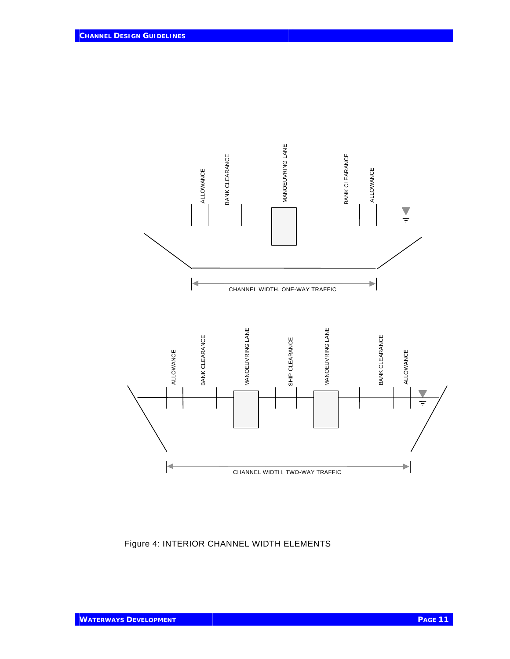

Figure 4: INTERIOR CHANNEL WIDTH ELEMENTS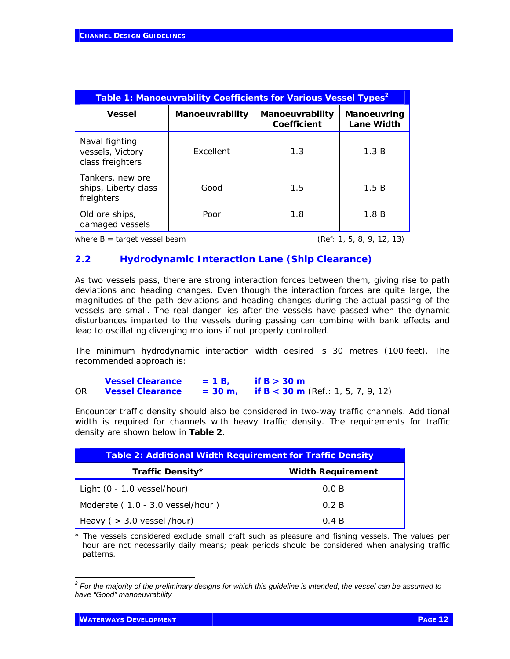| Table 1: Manoeuvrability Coefficients for Various Vessel Types <sup>2</sup> |                 |                                       |                                  |  |
|-----------------------------------------------------------------------------|-----------------|---------------------------------------|----------------------------------|--|
| <b>Vessel</b>                                                               | Manoeuvrability | <b>Manoeuvrability</b><br>Coefficient | Manoeuvring<br><b>Lane Width</b> |  |
| Naval fighting<br>vessels, Victory<br>class freighters                      | Excellent       | 1.3                                   | 1.3 B                            |  |
| Tankers, new ore<br>ships, Liberty class<br>freighters                      | Good            | 1.5                                   | 1.5B                             |  |
| Old ore ships,<br>damaged vessels                                           | Poor            | 1.8                                   | 1.8B                             |  |

*where B = target vessel beam (Ref: 1, 5, 8, 9, 12, 13)*

## *2.2 Hydrodynamic Interaction Lane (Ship Clearance)*

As two vessels pass, there are strong interaction forces between them, giving rise to path deviations and heading changes. Even though the interaction forces are quite large, the magnitudes of the path deviations and heading changes during the actual passing of the vessels are small. The real danger lies after the vessels have passed when the dynamic disturbances imparted to the vessels during passing can combine with bank effects and lead to oscillating diverging motions if not properly controlled.

The minimum hydrodynamic interaction width desired is 30 metres (100 feet). The recommended approach is:

|    | <b>Vessel Clearance</b> | $= 1 B$   | if B $>$ 30 m                                    |
|----|-------------------------|-----------|--------------------------------------------------|
| ΟR | <b>Vessel Clearance</b> | $= 30$ m. | if <b>B</b> < <b>30 m</b> (Ref.: 1, 5, 7, 9, 12) |

Encounter traffic density should also be considered in two-way traffic channels. Additional width is required for channels with heavy traffic density. The requirements for traffic density are shown below in **Table 2**.

| <b>Table 2: Additional Width Requirement for Traffic Density</b> |                          |  |
|------------------------------------------------------------------|--------------------------|--|
| Traffic Density*                                                 | <b>Width Requirement</b> |  |
| Light $(0 - 1.0$ vessel/hour)                                    | 0.0 B                    |  |
| Moderate (1.0 - 3.0 vessel/hour)                                 | 0.2 B                    |  |
| Heavy ( $>$ 3.0 vessel /hour)                                    | 0.4 B                    |  |

*\* The vessels considered exclude small craft such as pleasure and fishing vessels. The values per hour are not necessarily daily means; peak periods should be considered when analysing traffic patterns.*

 *2 For the majority of the preliminary designs for which this guideline is intended, the vessel can be assumed to have "Good" manoeuvrability*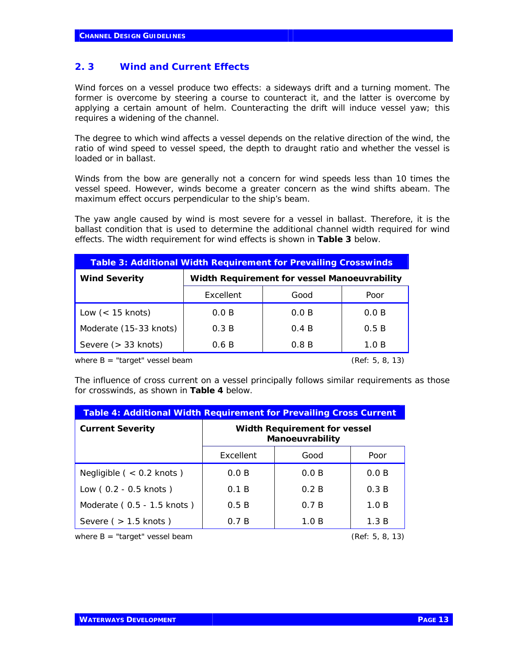#### *2. 3 Wind and Current Effects*

Wind forces on a vessel produce two effects: a sideways drift and a turning moment. The former is overcome by steering a course to counteract it, and the latter is overcome by applying a certain amount of helm. Counteracting the drift will induce vessel yaw; this requires a widening of the channel.

The degree to which wind affects a vessel depends on the relative direction of the wind, the ratio of wind speed to vessel speed, the depth to draught ratio and whether the vessel is loaded or in ballast.

Winds from the bow are generally not a concern for wind speeds less than 10 times the vessel speed. However, winds become a greater concern as the wind shifts abeam. The maximum effect occurs perpendicular to the ship's beam.

The yaw angle caused by wind is most severe for a vessel in ballast. Therefore, it is the ballast condition that is used to determine the additional channel width required for wind effects. The width requirement for wind effects is shown in **Table 3** below.

| <b>Table 3: Additional Width Requirement for Prevailing Crosswinds</b> |                                              |       |       |
|------------------------------------------------------------------------|----------------------------------------------|-------|-------|
| <b>Wind Severity</b>                                                   | Width Requirement for vessel Manoeuvrability |       |       |
|                                                                        | Excellent                                    | Good  | Poor  |
| Low $(< 15$ knots)                                                     | 0.0 B                                        | 0.0 B | 0.0 B |
| Moderate (15-33 knots)                                                 | 0.3 B                                        | 0.4 B | 0.5B  |
| Severe $($ > 33 knots)                                                 | 0.6 B                                        | 0.8 B | 1.0 B |

*where B = "target" vessel beam (Ref: 5, 8, 13)*

The influence of cross current on a vessel principally follows similar requirements as those for crosswinds, as shown in **Table 4** below.

| <b>Table 4: Additional Width Requirement for Prevailing Cross Current</b> |                                                 |       |       |
|---------------------------------------------------------------------------|-------------------------------------------------|-------|-------|
| <b>Current Severity</b>                                                   | Width Requirement for vessel<br>Manoeuvrability |       |       |
|                                                                           | Excellent                                       | Good  | Poor  |
| Negligible ( $<$ 0.2 knots)                                               | 0.0 B                                           | 0.0 B | 0.0 B |
| Low (0.2 - 0.5 knots)                                                     | 0.1 B                                           | 0.2 B | 0.3 B |
| Moderate (0.5 - 1.5 knots)                                                | 0.5B                                            | 0.7 B | 1.0 B |
| Severe $($ > 1.5 knots $)$                                                | 0.7 B                                           | 1.0 B | 1.3 B |

*where B = "target" vessel beam (Ref: 5, 8, 13)*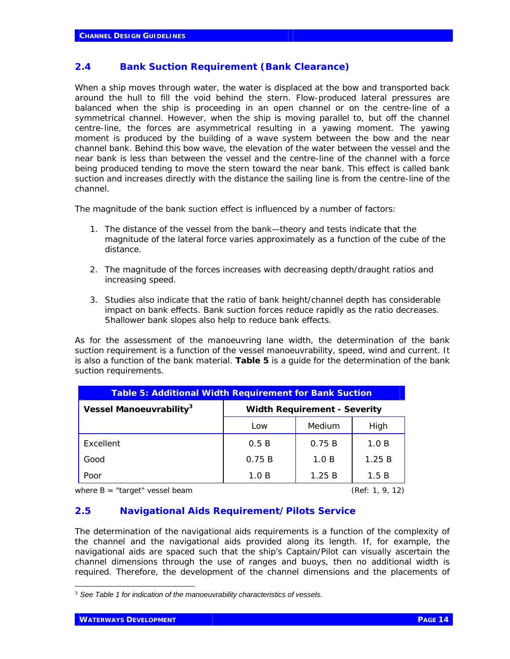## *2.4 Bank Suction Requirement (Bank Clearance)*

When a ship moves through water, the water is displaced at the bow and transported back around the hull to fill the void behind the stern. Flow-produced lateral pressures are balanced when the ship is proceeding in an open channel or on the centre-line of a symmetrical channel. However, when the ship is moving parallel to, but off the channel centre-line, the forces are asymmetrical resulting in a yawing moment. The yawing moment is produced by the building of a wave system between the bow and the near channel bank. Behind this bow wave, the elevation of the water between the vessel and the near bank is less than between the vessel and the centre-line of the channel with a force being produced tending to move the stern toward the near bank. This effect is called bank suction and increases directly with the distance the sailing line is from the centre-line of the channel.

The magnitude of the bank suction effect is influenced by a number of factors:

- 1. The distance of the vessel from the bank—theory and tests indicate that the magnitude of the lateral force varies approximately as a function of the cube of the distance.
- 2. The magnitude of the forces increases with decreasing depth/draught ratios and increasing speed.
- 3. Studies also indicate that the ratio of bank height/channel depth has considerable impact on bank effects. Bank suction forces reduce rapidly as the ratio decreases. Shallower bank slopes also help to reduce bank effects.

As for the assessment of the manoeuvring lane width, the determination of the bank suction requirement is a function of the vessel manoeuvrability, speed, wind and current. It is also a function of the bank material. **Table 5** is a guide for the determination of the bank suction requirements.

| <b>Table 5: Additional Width Requirement for Bank Suction</b> |                                     |        |       |
|---------------------------------------------------------------|-------------------------------------|--------|-------|
| Vessel Manoeuvrability <sup>3</sup>                           | <b>Width Requirement - Severity</b> |        |       |
|                                                               | Low                                 | Medium | High  |
| Excellent                                                     | 0.5B                                | 0.75 B | 1.0 B |
| Good                                                          | 0.75B                               | 1.0 B  | 1.25B |
| Poor                                                          | 1.0 B                               | 1.25 B | 1.5 B |

*where B = "target" vessel beam (Ref: 1, 9, 12)*

## *2.5 Navigational Aids Requirement/Pilots Service*

The determination of the navigational aids requirements is a function of the complexity of the channel and the navigational aids provided along its length. If, for example, the navigational aids are spaced such that the ship's Captain/Pilot can visually ascertain the channel dimensions through the use of ranges and buoys, then no additional width is required. Therefore, the development of the channel dimensions and the placements of

1

<sup>3</sup> *See Table 1 for indication of the manoeuvrability characteristics of vessels.*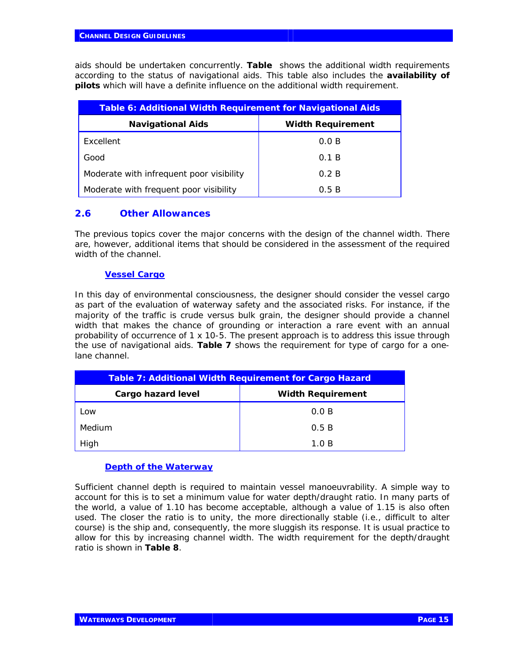aids should be undertaken concurrently. **Table** shows the additional width requirements according to the status of navigational aids. This table also includes the **availability of pilots** which will have a definite influence on the additional width requirement.

| <b>Table 6: Additional Width Requirement for Navigational Aids</b> |                          |  |
|--------------------------------------------------------------------|--------------------------|--|
| <b>Navigational Aids</b>                                           | <b>Width Requirement</b> |  |
| Excellent                                                          | 0.0 B                    |  |
| Good                                                               | 0.1 B                    |  |
| Moderate with infrequent poor visibility                           | 0.2 B                    |  |
| Moderate with frequent poor visibility                             | 0.5B                     |  |

### *2.6 Other Allowances*

The previous topics cover the major concerns with the design of the channel width. There are, however, additional items that should be considered in the assessment of the required width of the channel.

#### *Vessel Cargo*

In this day of environmental consciousness, the designer should consider the vessel cargo as part of the evaluation of waterway safety and the associated risks. For instance, if the majority of the traffic is crude versus bulk grain, the designer should provide a channel width that makes the chance of grounding or interaction a rare event with an annual probability of occurrence of 1 x 10-5. The present approach is to address this issue through the use of navigational aids. **Table 7** shows the requirement for type of cargo for a onelane channel.

| <b>Table 7: Additional Width Requirement for Cargo Hazard</b> |                          |
|---------------------------------------------------------------|--------------------------|
| Cargo hazard level                                            | <b>Width Requirement</b> |
| Low                                                           | 0.0 B                    |
| Medium                                                        | 0.5B                     |
| High                                                          | 1.0 B                    |

#### *Depth of the Waterway*

Sufficient channel depth is required to maintain vessel manoeuvrability. A simple way to account for this is to set a minimum value for water depth/draught ratio. In many parts of the world, a value of 1.10 has become acceptable, although a value of 1.15 is also often used. The closer the ratio is to unity, the more directionally stable (i.e., difficult to alter course) is the ship and, consequently, the more sluggish its response. It is usual practice to allow for this by increasing channel width. The width requirement for the depth/draught ratio is shown in **Table 8**.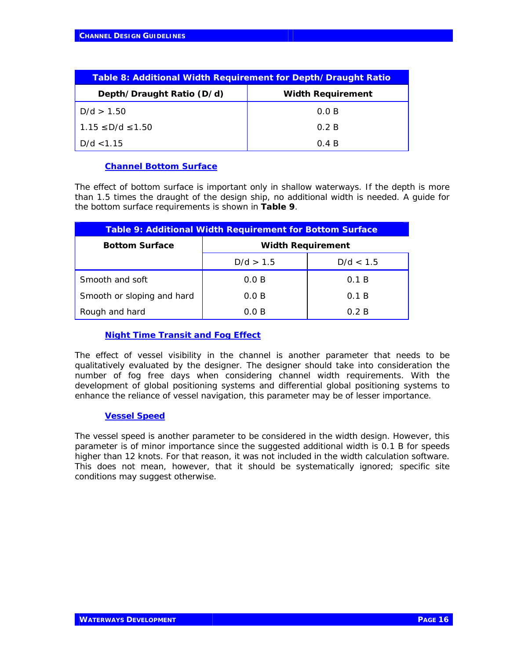| Table 8: Additional Width Requirement for Depth/Draught Ratio |                          |
|---------------------------------------------------------------|--------------------------|
| Depth/Draught Ratio (D/d)                                     | <b>Width Requirement</b> |
| D/d > 1.50                                                    | 0.0 B                    |
| $1.15 \le D/d \le 1.50$                                       | 0.2 B                    |
| D/d < 1.15                                                    | 0.4 B                    |

#### *Channel Bottom Surface*

The effect of bottom surface is important only in shallow waterways. If the depth is more than 1.5 times the draught of the design ship, no additional width is needed. A guide for the bottom surface requirements is shown in **Table 9**.

| Table 9: Additional Width Requirement for Bottom Surface |                          |           |
|----------------------------------------------------------|--------------------------|-----------|
| <b>Bottom Surface</b>                                    | <b>Width Requirement</b> |           |
|                                                          | D/d > 1.5                | D/d < 1.5 |
| Smooth and soft                                          | 0.0 B                    | 0.1 B     |
| Smooth or sloping and hard                               | 0.0 B                    | 0.1 B     |
| Rough and hard                                           | 0.0 B                    | 0.2 B     |

#### *Night Time Transit and Fog Effect*

The effect of vessel visibility in the channel is another parameter that needs to be qualitatively evaluated by the designer. The designer should take into consideration the number of fog free days when considering channel width requirements. With the development of global positioning systems and differential global positioning systems to enhance the reliance of vessel navigation, this parameter may be of lesser importance.

#### *Vessel Speed*

The vessel speed is another parameter to be considered in the width design. However, this parameter is of minor importance since the suggested additional width is 0.1 B for speeds higher than 12 knots. For that reason, it was not included in the width calculation software. This does not mean, however, that it should be systematically ignored; specific site conditions may suggest otherwise.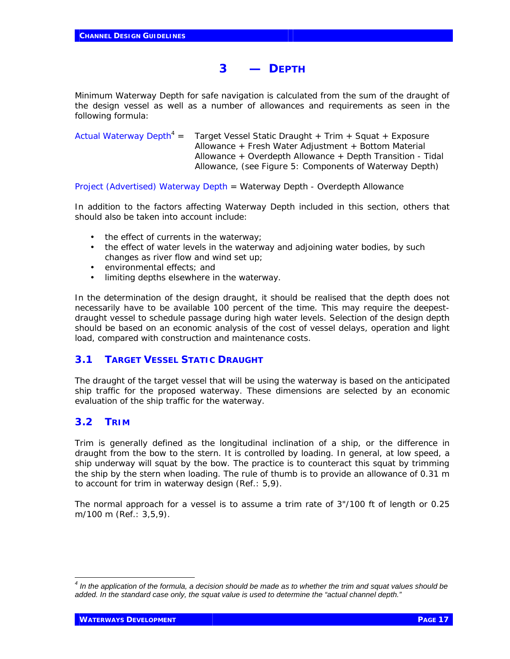## **3 — DEPTH**

Minimum Waterway Depth for safe navigation is calculated from the sum of the draught of the design vessel as well as a number of allowances and requirements as seen in the following formula:

Actual Waterway Depth*<sup>4</sup>* Target Vessel Static Draught + Trim + Squat + Exposure Allowance + Fresh Water Adjustment + Bottom Material Allowance + Overdepth Allowance + Depth Transition - Tidal Allowance, (see Figure 5: Components of Waterway Depth)

Project (Advertised) Waterway Depth = Waterway Depth - Overdepth Allowance

In addition to the factors affecting Waterway Depth included in this section, others that should also be taken into account include:

- the effect of currents in the waterway;
- the effect of water levels in the waterway and adjoining water bodies, by such changes as river flow and wind set up;
- environmental effects; and
- limiting depths elsewhere in the waterway.

In the determination of the design draught, it should be realised that the depth does not necessarily have to be available 100 percent of the time. This may require the deepestdraught vessel to schedule passage during high water levels. Selection of the design depth should be based on an economic analysis of the cost of vessel delays, operation and light load, compared with construction and maintenance costs.

## **3.1 TARGET VESSEL STATIC DRAUGHT**

The draught of the target vessel that will be using the waterway is based on the anticipated ship traffic for the proposed waterway. These dimensions are selected by an economic evaluation of the ship traffic for the waterway.

#### **3.2 TRIM**

Trim is generally defined as the longitudinal inclination of a ship, or the difference in draught from the bow to the stern. It is controlled by loading. In general, at low speed, a ship underway will squat by the bow. The practice is to counteract this squat by trimming the ship by the stern when loading. The rule of thumb is to provide an allowance of 0.31 m to account for trim in waterway design (Ref.: 5,9).

The normal approach for a vessel is to assume a trim rate of 3"/100 ft of length or 0.25 m/100 m (Ref.: 3,5,9).

 *4 In the application of the formula, a decision should be made as to whether the trim and squat values should be added. In the standard case only, the squat value is used to determine the "actual channel depth."*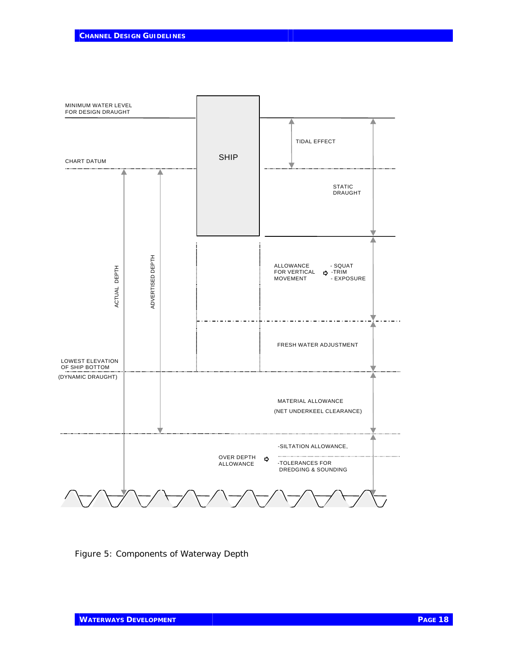

Figure 5: Components of Waterway Depth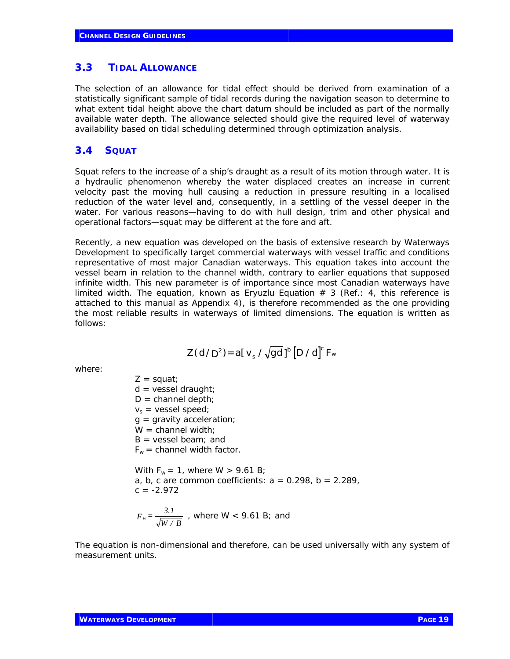#### **3.3 TIDAL ALLOWANCE**

The selection of an allowance for tidal effect should be derived from examination of a statistically significant sample of tidal records during the navigation season to determine to what extent tidal height above the chart datum should be included as part of the normally available water depth. The allowance selected should give the required level of waterway availability based on tidal scheduling determined through optimization analysis.

#### **3.4 SQUAT**

Squat refers to the increase of a ship's draught as a result of its motion through water. It is a hydraulic phenomenon whereby the water displaced creates an increase in current velocity past the moving hull causing a reduction in pressure resulting in a localised reduction of the water level and, consequently, in a settling of the vessel deeper in the water. For various reasons—having to do with hull design, trim and other physical and operational factors—squat may be different at the fore and aft.

Recently, a new equation was developed on the basis of extensive research by Waterways Development to specifically target commercial waterways with vessel traffic and conditions representative of most major Canadian waterways. This equation takes into account the vessel beam in relation to the channel width, contrary to earlier equations that supposed infinite width. This new parameter is of importance since most Canadian waterways have limited width. The equation, known as Eryuzlu Equation  $# 3$  (Ref.: 4, this reference is attached to this manual as Appendix 4), is therefore recommended as the one providing the most reliable results in waterways of limited dimensions. The equation is written as follows:

$$
Z(d/D^2) = a[v_s / \sqrt{gd}]^b [D/d]^c F_w
$$

where:

 $Z = square$ ;  $d =$  vessel draught;  $D =$  channel depth;  $v_s$  = vessel speed;  $q =$  gravity acceleration;  $W =$  channel width;  $B = v$ essel beam; and  $F_w$  = channel width factor. With  $F_w = 1$ , where  $W > 9.61$  B; a, b, c are common coefficients:  $a = 0.298$ ,  $b = 2.289$ ,  $c = -2.972$ 

$$
F_w = \frac{3.1}{\sqrt{W/B}}
$$
, where W < 9.61 B; and

The equation is non-dimensional and therefore, can be used universally with any system of measurement units.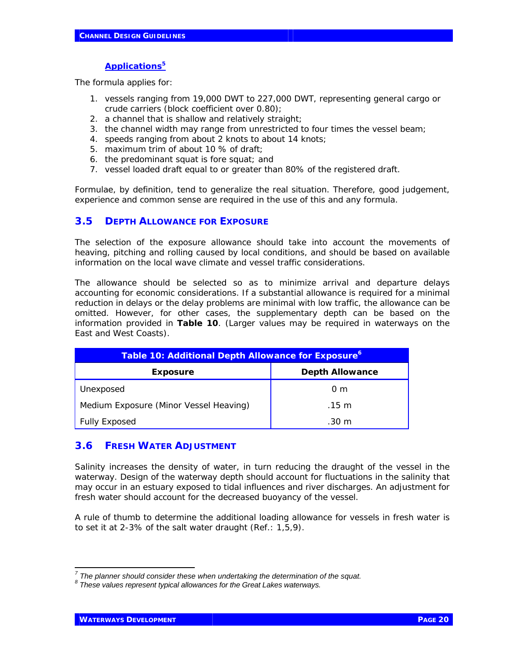## *Applications***<sup>5</sup>**

The formula applies for:

- 1. vessels ranging from 19,000 DWT to 227,000 DWT, representing general cargo or crude carriers (block coefficient over 0.80);
- 2. a channel that is shallow and relatively straight;
- 3. the channel width may range from unrestricted to four times the vessel beam;
- 4. speeds ranging from about 2 knots to about 14 knots;
- 5. maximum trim of about 10 % of draft;
- 6. the predominant squat is fore squat; and
- 7. vessel loaded draft equal to or greater than 80% of the registered draft.

Formulae, by definition, tend to generalize the real situation. Therefore, good judgement, experience and common sense are required in the use of this and any formula.

## **3.5 DEPTH ALLOWANCE FOR EXPOSURE**

The selection of the exposure allowance should take into account the movements of heaving, pitching and rolling caused by local conditions, and should be based on available information on the local wave climate and vessel traffic considerations.

The allowance should be selected so as to minimize arrival and departure delays accounting for economic considerations. If a substantial allowance is required for a minimal reduction in delays or the delay problems are minimal with low traffic, the allowance can be omitted. However, for other cases, the supplementary depth can be based on the information provided in **Table 10**. (Larger values may be required in waterways on the East and West Coasts).

| Table 10: Additional Depth Allowance for Exposure <sup>6</sup> |                        |
|----------------------------------------------------------------|------------------------|
| Exposure                                                       | <b>Depth Allowance</b> |
| Unexposed                                                      | 0 <sub>m</sub>         |
| Medium Exposure (Minor Vessel Heaving)                         | $.15 \; \mathrm{m}$    |
| <b>Fully Exposed</b>                                           | $.30 \; \mathrm{m}$    |

## **3.6 FRESH WATER ADJUSTMENT**

Salinity increases the density of water, in turn reducing the draught of the vessel in the waterway. Design of the waterway depth should account for fluctuations in the salinity that may occur in an estuary exposed to tidal influences and river discharges. An adjustment for fresh water should account for the decreased buoyancy of the vessel.

A rule of thumb to determine the additional loading allowance for vessels in fresh water is to set it at 2-3% of the salt water draught (Ref.: 1,5,9).

*<sup>7</sup> The planner should consider these when undertaking the determination of the squat.*

*<sup>8</sup> These values represent typical allowances for the Great Lakes waterways.*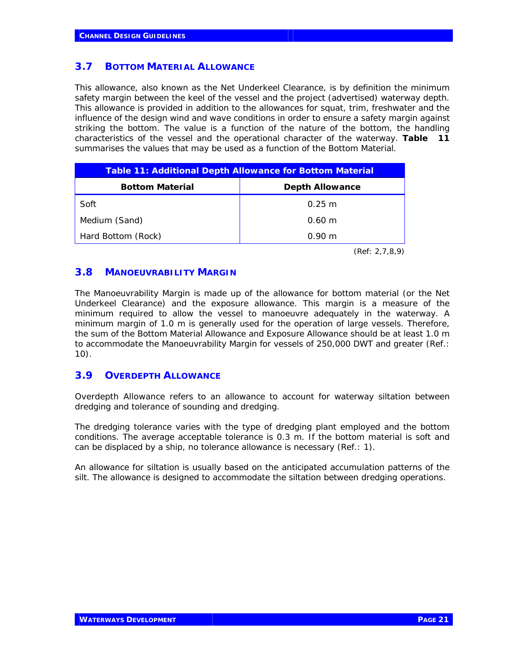#### **3.7 BOTTOM MATERIAL ALLOWANCE**

This allowance, also known as the Net Underkeel Clearance, is by definition the minimum safety margin between the keel of the vessel and the project (advertised) waterway depth. This allowance is provided in addition to the allowances for squat, trim, freshwater and the influence of the design wind and wave conditions in order to ensure a safety margin against striking the bottom. The value is a function of the nature of the bottom, the handling characteristics of the vessel and the operational character of the waterway. **Table 111** summarises the values that may be used as a function of the Bottom Material.

| Table 11: Additional Depth Allowance for Bottom Material |                        |
|----------------------------------------------------------|------------------------|
| <b>Bottom Material</b>                                   | <b>Depth Allowance</b> |
| Soft                                                     | $0.25 \text{ m}$       |
| Medium (Sand)                                            | $0.60 \; m$            |
| Hard Bottom (Rock)                                       | $0.90 \;{\rm m}$       |

*(Ref: 2,7,8,9)*

#### **3.8 MANOEUVRABILITY MARGIN**

The Manoeuvrability Margin is made up of the allowance for bottom material (or the Net Underkeel Clearance) and the exposure allowance. This margin is a measure of the minimum required to allow the vessel to manoeuvre adequately in the waterway. A minimum margin of 1.0 m is generally used for the operation of large vessels. Therefore, the sum of the Bottom Material Allowance and Exposure Allowance should be at least 1.0 m to accommodate the Manoeuvrability Margin for vessels of 250,000 DWT and greater (Ref.: 10).

#### **3.9 OVERDEPTH ALLOWANCE**

Overdepth Allowance refers to an allowance to account for waterway siltation between dredging and tolerance of sounding and dredging.

The dredging tolerance varies with the type of dredging plant employed and the bottom conditions. The average acceptable tolerance is 0.3 m. If the bottom material is soft and can be displaced by a ship, no tolerance allowance is necessary (Ref.: 1).

An allowance for siltation is usually based on the anticipated accumulation patterns of the silt. The allowance is designed to accommodate the siltation between dredging operations.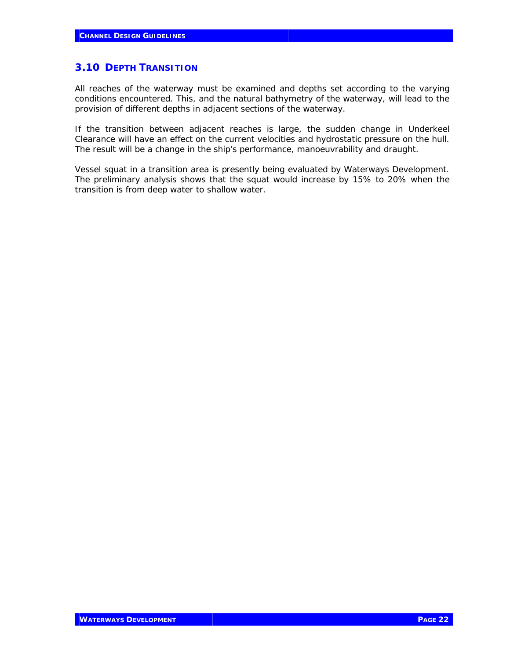#### **3.10 DEPTH TRANSITION**

All reaches of the waterway must be examined and depths set according to the varying conditions encountered. This, and the natural bathymetry of the waterway, will lead to the provision of different depths in adjacent sections of the waterway.

If the transition between adjacent reaches is large, the sudden change in Underkeel Clearance will have an effect on the current velocities and hydrostatic pressure on the hull. The result will be a change in the ship's performance, manoeuvrability and draught.

Vessel squat in a transition area is presently being evaluated by Waterways Development. The preliminary analysis shows that the squat would increase by 15% to 20% when the transition is from deep water to shallow water.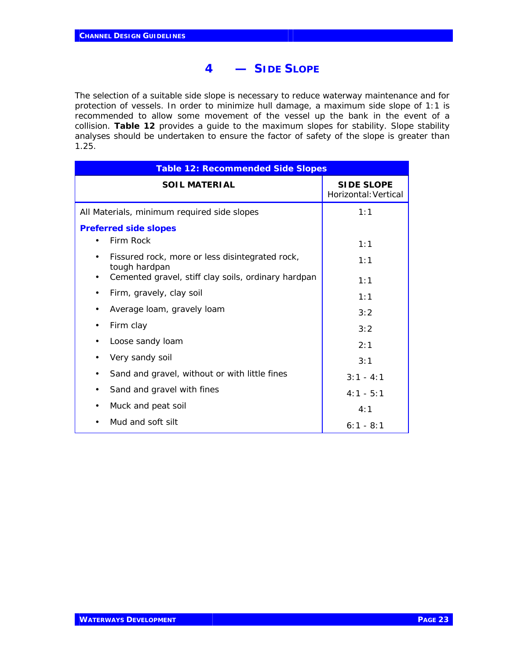## **4 — SIDE SLOPE**

The selection of a suitable side slope is necessary to reduce waterway maintenance and for protection of vessels. In order to minimize hull damage, a maximum side slope of 1:1 is recommended to allow some movement of the vessel up the bank in the event of a collision. **Table 12** provides a guide to the maximum slopes for stability. Slope stability analyses should be undertaken to ensure the factor of safety of the slope is greater than 1.25.

| <b>Table 12: Recommended Side Slopes</b>                         |                                           |
|------------------------------------------------------------------|-------------------------------------------|
| <b>SOIL MATERIAL</b>                                             | <b>SIDE SLOPE</b><br>Horizontal: Vertical |
| All Materials, minimum required side slopes                      | 1:1                                       |
| <b>Preferred side slopes</b>                                     |                                           |
| Firm Rock                                                        | 1:1                                       |
| Fissured rock, more or less disintegrated rock,<br>tough hardpan | 1:1                                       |
| Cemented gravel, stiff clay soils, ordinary hardpan              | 1:1                                       |
| Firm, gravely, clay soil                                         | 1:1                                       |
| Average loam, gravely loam                                       | 3:2                                       |
| Firm clay                                                        | 3:2                                       |
| Loose sandy loam                                                 | 2:1                                       |
| Very sandy soil                                                  | 3:1                                       |
| Sand and gravel, without or with little fines<br>٠               | $3:1 - 4:1$                               |
| Sand and gravel with fines                                       | $4:1 - 5:1$                               |
| Muck and peat soil                                               | 4:1                                       |
| Mud and soft silt                                                | $6:1 - 8:1$                               |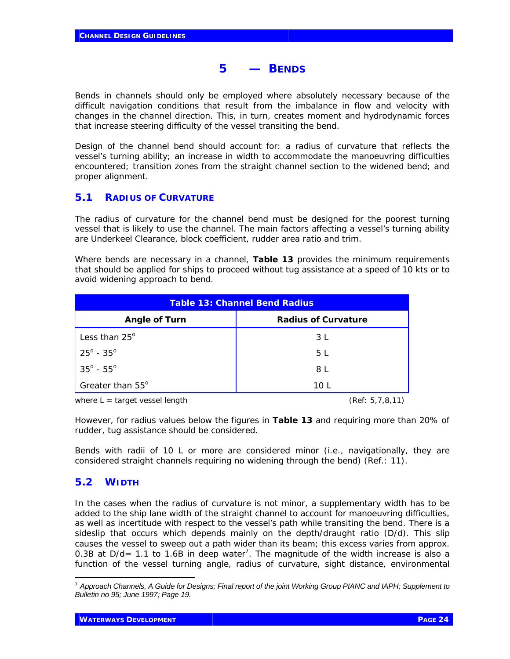## **5 — BENDS**

Bends in channels should only be employed where absolutely necessary because of the difficult navigation conditions that result from the imbalance in flow and velocity with changes in the channel direction. This, in turn, creates moment and hydrodynamic forces that increase steering difficulty of the vessel transiting the bend.

Design of the channel bend should account for: a radius of curvature that reflects the vessel's turning ability; an increase in width to accommodate the manoeuvring difficulties encountered; transition zones from the straight channel section to the widened bend; and proper alignment.

## **5.1 RADIUS OF CURVATURE**

The radius of curvature for the channel bend must be designed for the poorest turning vessel that is likely to use the channel. The main factors affecting a vessel's turning ability are Underkeel Clearance, block coefficient, rudder area ratio and trim.

Where bends are necessary in a channel, **Table 13** provides the minimum requirements that should be applied for ships to proceed without tug assistance at a speed of 10 kts or to avoid widening approach to bend.

| <b>Table 13: Channel Bend Radius</b> |                            |
|--------------------------------------|----------------------------|
| <b>Angle of Turn</b>                 | <b>Radius of Curvature</b> |
| Less than $25^\circ$                 | 3 L                        |
| $25^{\circ}$ - $35^{\circ}$          | 5 L                        |
| $35^{\circ}$ - $55^{\circ}$          | 8 L                        |
| Greater than 55°                     | 10 L                       |

*where L = target vessel length (Ref: 5,7,8,11)*

However, for radius values below the figures in **Table 13** and requiring more than 20% of rudder, tug assistance should be considered.

Bends with radii of 10 L or more are considered minor (i.e., navigationally, they are considered straight channels requiring no widening through the bend) (Ref.: 11).

## **5.2 WIDTH**

-

In the cases when the radius of curvature is not minor, a supplementary width has to be added to the ship lane width of the straight channel to account for manoeuvring difficulties, as well as incertitude with respect to the vessel's path while transiting the bend. There is a sideslip that occurs which depends mainly on the depth/draught ratio (D/d). This slip causes the vessel to sweep out a path wider than its beam; this excess varies from approx. 0.3B at  $D/d = 1.1$  to 1.6B in deep water<sup>7</sup>. The magnitude of the width increase is also a function of the vessel turning angle, radius of curvature, sight distance, environmental

<sup>7</sup> *Approach Channels, A Guide for Designs; Final report of the joint Working Group PIANC and IAPH; Supplement to Bulletin no 95; June 1997; Page 19.*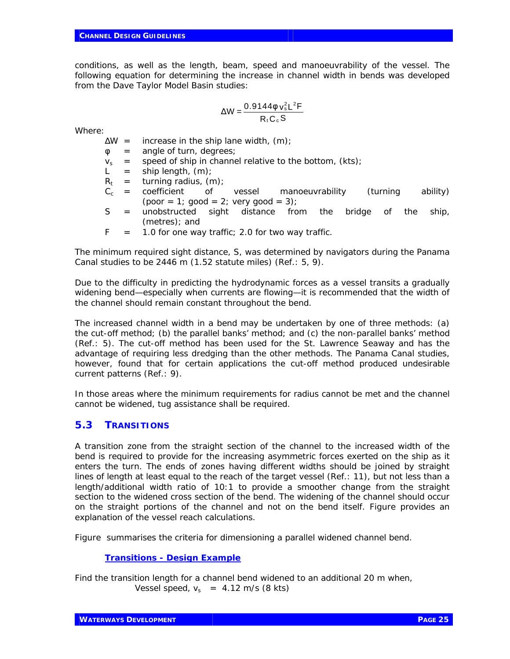conditions, as well as the length, beam, speed and manoeuvrability of the vessel. The following equation for determining the increase in channel width in bends was developed from the Dave Taylor Model Basin studies:

$$
\Delta W = \frac{0.9144f v_s^2 L^2 F}{R_t C_c S}
$$

Where:

 $\Delta W =$  increase in the ship lane width, (m);

- $\phi$  = angle of turn, degrees;
- $v_s$  = speed of ship in channel relative to the bottom, (kts);
- $L =$  ship length,  $(m)$ ;
- $R_t$  = turning radius, (m);
- $C_c$  = coefficient of vessel manoeuvrability (turning ability)  $(poor = 1; good = 2; very good = 3);$
- S = unobstructed sight distance from the bridge of the ship, (metres); and
- $F = 1.0$  for one way traffic; 2.0 for two way traffic.

The minimum required sight distance, S, was determined by navigators during the Panama Canal studies to be 2446 m (1.52 statute miles) (Ref.: 5, 9).

Due to the difficulty in predicting the hydrodynamic forces as a vessel transits a gradually widening bend—especially when currents are flowing—it is recommended that the width of the channel should remain constant throughout the bend.

The increased channel width in a bend may be undertaken by one of three methods: (a) the cut-off method; (b) the parallel banks' method; and (c) the non-parallel banks' method (Ref.: 5). The cut-off method has been used for the St. Lawrence Seaway and has the advantage of requiring less dredging than the other methods. The Panama Canal studies, however, found that for certain applications the cut-off method produced undesirable current patterns (Ref.: 9).

In those areas where the minimum requirements for radius cannot be met and the channel cannot be widened, tug assistance shall be required.

## **5.3 TRANSITIONS**

A transition zone from the straight section of the channel to the increased width of the bend is required to provide for the increasing asymmetric forces exerted on the ship as it enters the turn. The ends of zones having different widths should be joined by straight lines of length at least equal to the reach of the target vessel (Ref.: 11), but not less than a length/additional width ratio of 10:1 to provide a smoother change from the straight section to the widened cross section of the bend. The widening of the channel should occur on the straight portions of the channel and not on the bend itself. Figure provides an explanation of the vessel reach calculations.

Figure summarises the criteria for dimensioning a parallel widened channel bend.

#### *Transitions - Design Example*

Find the transition length for a channel bend widened to an additional 20 m when, Vessel speed,  $v_s$  = 4.12 m/s (8 kts)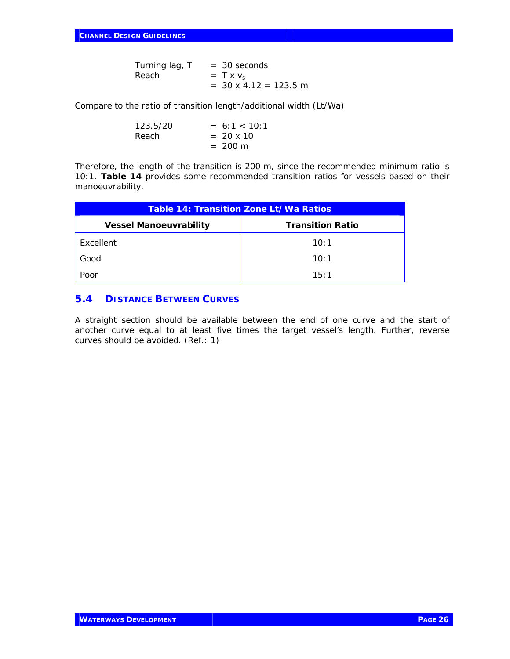Turning lag,  $T = 30$  seconds Reach  $= T x v_s$  $= 30 \times 4.12 = 123.5 \text{ m}$ 

Compare to the ratio of transition length/additional width (Lt/Wa)

| 123.5/20 | $= 6:1 < 10:1$    |
|----------|-------------------|
| Reach.   | $= 20 \times 10$  |
|          | $= 200 \text{ m}$ |

Therefore, the length of the transition is 200 m, since the recommended minimum ratio is 10:1. **Table 14** provides some recommended transition ratios for vessels based on their manoeuvrability.

| Table 14: Transition Zone Lt/Wa Ratios |                         |
|----------------------------------------|-------------------------|
| <b>Vessel Manoeuvrability</b>          | <b>Transition Ratio</b> |
| Excellent                              | 10:1                    |
| Good                                   | 10:1                    |
| Poor                                   | 15:1                    |

## **5.4 DISTANCE BETWEEN CURVES**

A straight section should be available between the end of one curve and the start of another curve equal to at least five times the target vessel's length. Further, reverse curves should be avoided. (Ref.: 1)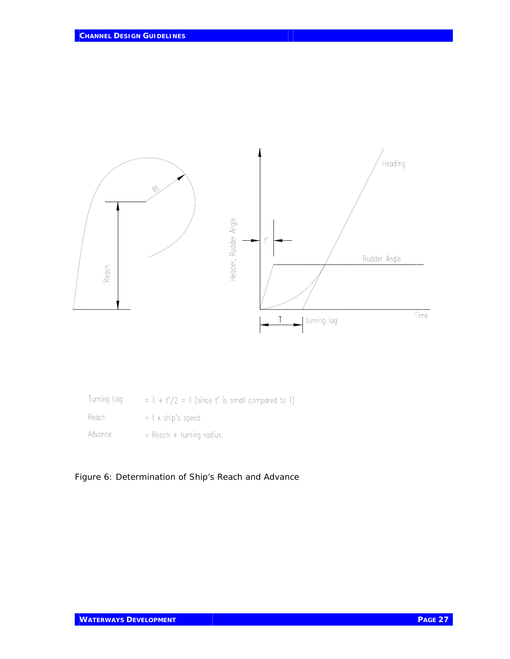

| Turning Lag | $= T + t'/2 = T$ (since t' is small compared to T) |
|-------------|----------------------------------------------------|
| Reach       | $=$ t x ship's speed                               |
| Advance     | $=$ Reach + turning radius                         |

Figure 6: Determination of Ship's Reach and Advance

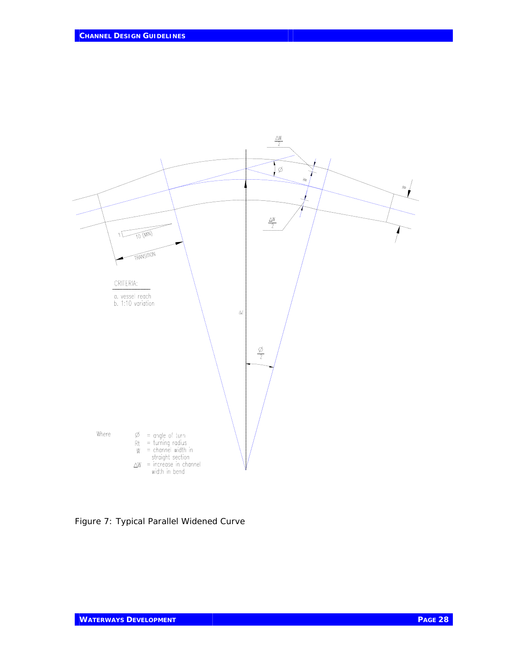

Figure 7: Typical Parallel Widened Curve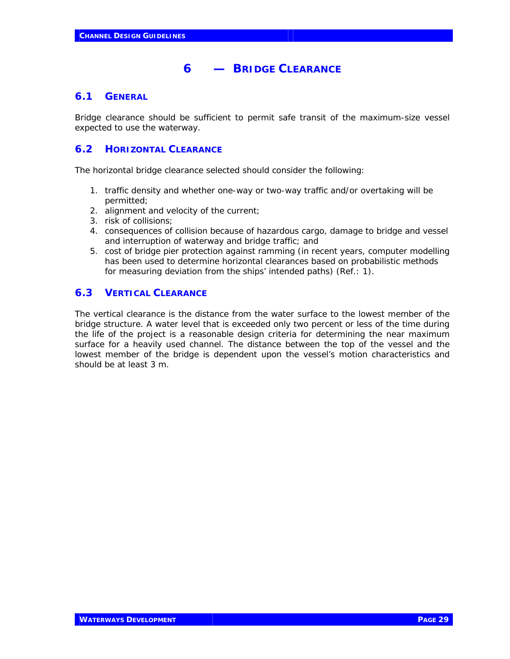# **6 — BRIDGE CLEARANCE**

## **6.1 GENERAL**

Bridge clearance should be sufficient to permit safe transit of the maximum-size vessel expected to use the waterway.

#### **6.2 HORIZONTAL CLEARANCE**

The horizontal bridge clearance selected should consider the following:

- 1. traffic density and whether one-way or two-way traffic and/or overtaking will be permitted;
- 2. alignment and velocity of the current;
- 3. risk of collisions;
- 4. consequences of collision because of hazardous cargo, damage to bridge and vessel and interruption of waterway and bridge traffic; and
- 5. cost of bridge pier protection against ramming (in recent years, computer modelling has been used to determine horizontal clearances based on probabilistic methods for measuring deviation from the ships' intended paths) (Ref.: 1).

## **6.3 VERTICAL CLEARANCE**

The vertical clearance is the distance from the water surface to the lowest member of the bridge structure. A water level that is exceeded only two percent or less of the time during the life of the project is a reasonable design criteria for determining the near maximum surface for a heavily used channel. The distance between the top of the vessel and the lowest member of the bridge is dependent upon the vessel's motion characteristics and should be at least 3 m.

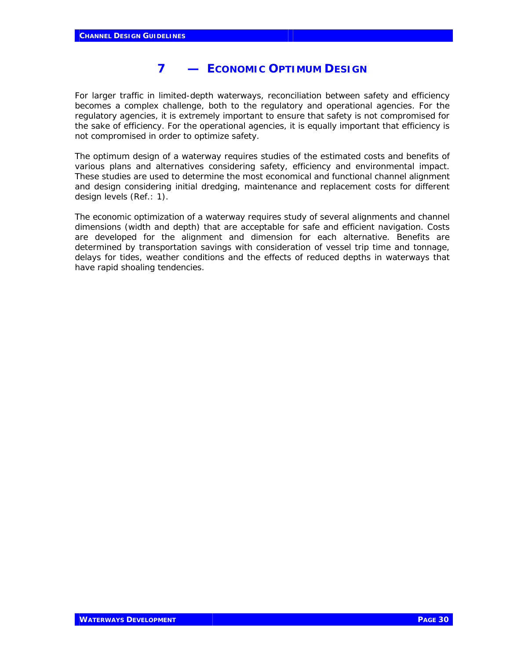# **7 — ECONOMIC OPTIMUM DESIGN**

For larger traffic in limited-depth waterways, reconciliation between safety and efficiency becomes a complex challenge, both to the regulatory and operational agencies. For the regulatory agencies, it is extremely important to ensure that safety is not compromised for the sake of efficiency. For the operational agencies, it is equally important that efficiency is not compromised in order to optimize safety.

The optimum design of a waterway requires studies of the estimated costs and benefits of various plans and alternatives considering safety, efficiency and environmental impact. These studies are used to determine the most economical and functional channel alignment and design considering initial dredging, maintenance and replacement costs for different design levels (Ref.: 1).

The economic optimization of a waterway requires study of several alignments and channel dimensions (width and depth) that are acceptable for safe and efficient navigation. Costs are developed for the alignment and dimension for each alternative. Benefits are determined by transportation savings with consideration of vessel trip time and tonnage, delays for tides, weather conditions and the effects of reduced depths in waterways that have rapid shoaling tendencies.